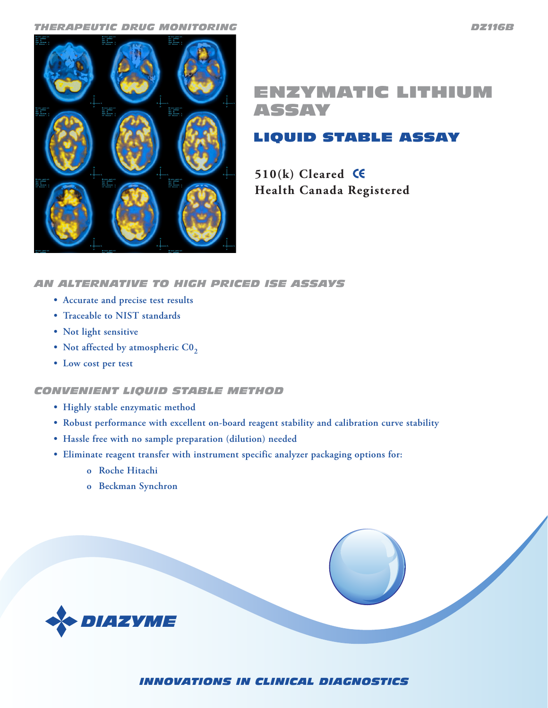

# ENZYMATIC LITHIUM ASSAY

## LIQUID STABLE ASSAY

**510(k) Cleared Health Canada Registered**

## *AN ALTERNATIVE TO HIGH PRICED ISE ASSAYS*

- **• Accurate and precise test results**
- **• Traceable to NIST standards**
- **• Not light sensitive**
- Not affected by atmospheric CO<sub>2</sub>
- **• Low cost per test**

### *CONVENIENT LIQUID STABLE METHOD*

- **• Highly stable enzymatic method**
- **• Robust performance with excellent on-board reagent stability and calibration curve stability**
- **• Hassle free with no sample preparation (dilution) needed**
- **• Eliminate reagent transfer with instrument specific analyzer packaging options for:**
	- **o Roche Hitachi**
	- **o Beckman Synchron**